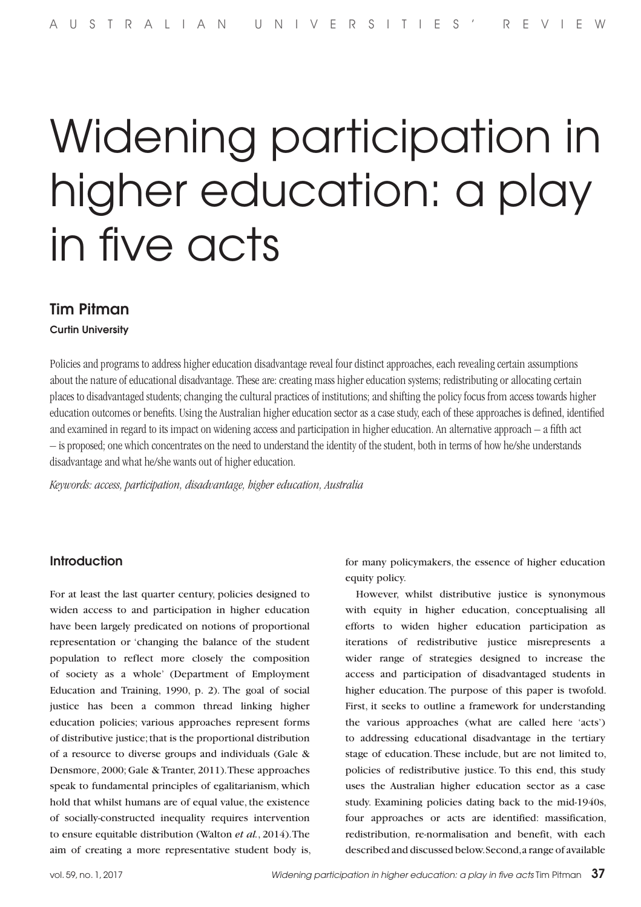# Widening participation in higher education: a play in five acts

# Tim Pitman

Curtin University

Policies and programs to address higher education disadvantage reveal four distinct approaches, each revealing certain assumptions about the nature of educational disadvantage. These are: creating mass higher education systems; redistributing or allocating certain places to disadvantaged students; changing the cultural practices of institutions; and shifting the policy focus from access towards higher education outcomes or benefits. Using the Australian higher education sector as a case study, each of these approaches is defined, identified and examined in regard to its impact on widening access and participation in higher education. An alternative approach – a fifth act – is proposed; one which concentrates on the need to understand the identity of the student, both in terms of how he/she understands disadvantage and what he/she wants out of higher education.

*Keywords: access, participation, disadvantage, higher education, Australia*

## **Introduction**

For at least the last quarter century, policies designed to widen access to and participation in higher education have been largely predicated on notions of proportional representation or 'changing the balance of the student population to reflect more closely the composition of society as a whole' (Department of Employment Education and Training, 1990, p. 2). The goal of social justice has been a common thread linking higher education policies; various approaches represent forms of distributive justice; that is the proportional distribution of a resource to diverse groups and individuals (Gale & Densmore, 2000; Gale & Tranter, 2011). These approaches speak to fundamental principles of egalitarianism, which hold that whilst humans are of equal value, the existence of socially-constructed inequality requires intervention to ensure equitable distribution (Walton *et al.*, 2014). The aim of creating a more representative student body is, for many policymakers, the essence of higher education equity policy.

However, whilst distributive justice is synonymous with equity in higher education, conceptualising all efforts to widen higher education participation as iterations of redistributive justice misrepresents a wider range of strategies designed to increase the access and participation of disadvantaged students in higher education. The purpose of this paper is twofold. First, it seeks to outline a framework for understanding the various approaches (what are called here 'acts') to addressing educational disadvantage in the tertiary stage of education. These include, but are not limited to, policies of redistributive justice. To this end, this study uses the Australian higher education sector as a case study. Examining policies dating back to the mid-1940s, four approaches or acts are identified: massification, redistribution, re-normalisation and benefit, with each described and discussed below. Second, a range of available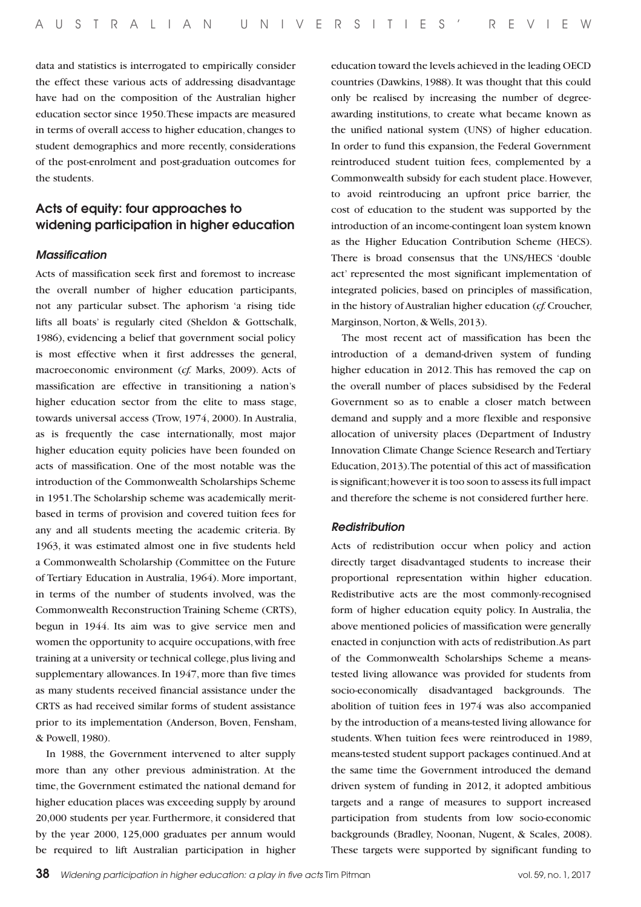data and statistics is interrogated to empirically consider the effect these various acts of addressing disadvantage have had on the composition of the Australian higher education sector since 1950. These impacts are measured in terms of overall access to higher education, changes to student demographics and more recently, considerations of the post-enrolment and post-graduation outcomes for the students.

# Acts of equity: four approaches to widening participation in higher education

#### *Massification*

Acts of massification seek first and foremost to increase the overall number of higher education participants, not any particular subset. The aphorism 'a rising tide lifts all boats' is regularly cited (Sheldon & Gottschalk, 1986), evidencing a belief that government social policy is most effective when it first addresses the general, macroeconomic environment (*cf.* Marks, 2009). Acts of massification are effective in transitioning a nation's higher education sector from the elite to mass stage, towards universal access (Trow, 1974, 2000). In Australia, as is frequently the case internationally, most major higher education equity policies have been founded on acts of massification. One of the most notable was the introduction of the Commonwealth Scholarships Scheme in 1951. The Scholarship scheme was academically meritbased in terms of provision and covered tuition fees for any and all students meeting the academic criteria. By 1963, it was estimated almost one in five students held a Commonwealth Scholarship (Committee on the Future of Tertiary Education in Australia, 1964). More important, in terms of the number of students involved, was the Commonwealth Reconstruction Training Scheme (CRTS), begun in 1944. Its aim was to give service men and women the opportunity to acquire occupations, with free training at a university or technical college, plus living and supplementary allowances. In 1947, more than five times as many students received financial assistance under the CRTS as had received similar forms of student assistance prior to its implementation (Anderson, Boven, Fensham, & Powell, 1980).

In 1988, the Government intervened to alter supply more than any other previous administration. At the time, the Government estimated the national demand for higher education places was exceeding supply by around 20,000 students per year. Furthermore, it considered that by the year 2000, 125,000 graduates per annum would be required to lift Australian participation in higher education toward the levels achieved in the leading OECD countries (Dawkins, 1988). It was thought that this could only be realised by increasing the number of degreeawarding institutions, to create what became known as the unified national system (UNS) of higher education. In order to fund this expansion, the Federal Government reintroduced student tuition fees, complemented by a Commonwealth subsidy for each student place. However, to avoid reintroducing an upfront price barrier, the cost of education to the student was supported by the introduction of an income-contingent loan system known as the Higher Education Contribution Scheme (HECS). There is broad consensus that the UNS/HECS 'double act' represented the most significant implementation of integrated policies, based on principles of massification, in the history of Australian higher education (*cf.* Croucher, Marginson, Norton, & Wells, 2013).

The most recent act of massification has been the introduction of a demand-driven system of funding higher education in 2012. This has removed the cap on the overall number of places subsidised by the Federal Government so as to enable a closer match between demand and supply and a more flexible and responsive allocation of university places (Department of Industry Innovation Climate Change Science Research and Tertiary Education, 2013). The potential of this act of massification is significant; however it is too soon to assess its full impact and therefore the scheme is not considered further here.

#### *Redistribution*

Acts of redistribution occur when policy and action directly target disadvantaged students to increase their proportional representation within higher education. Redistributive acts are the most commonly-recognised form of higher education equity policy. In Australia, the above mentioned policies of massification were generally enacted in conjunction with acts of redistribution. As part of the Commonwealth Scholarships Scheme a meanstested living allowance was provided for students from socio-economically disadvantaged backgrounds. The abolition of tuition fees in 1974 was also accompanied by the introduction of a means-tested living allowance for students. When tuition fees were reintroduced in 1989, means-tested student support packages continued. And at the same time the Government introduced the demand driven system of funding in 2012, it adopted ambitious targets and a range of measures to support increased participation from students from low socio-economic backgrounds (Bradley, Noonan, Nugent, & Scales, 2008). These targets were supported by significant funding to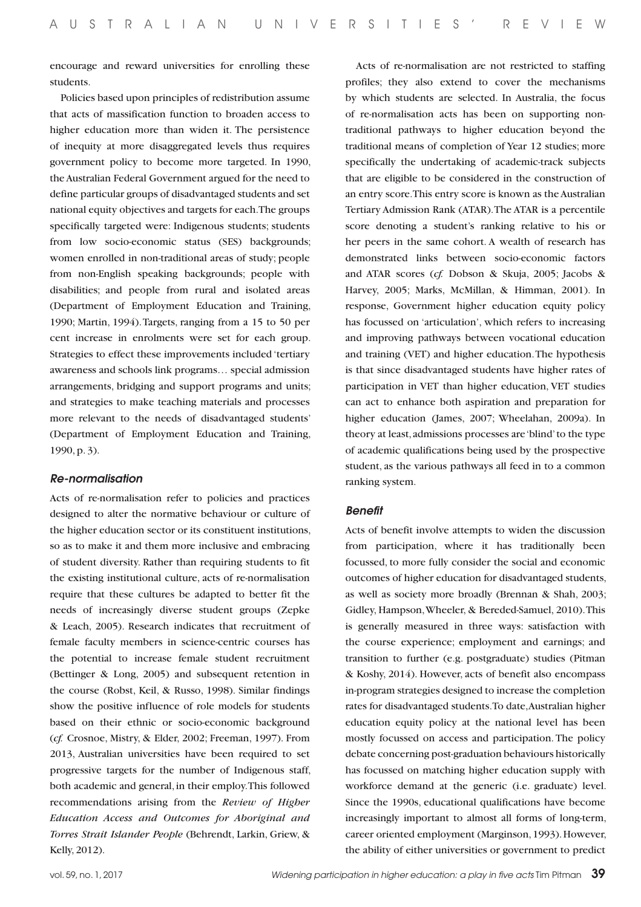encourage and reward universities for enrolling these students.

Policies based upon principles of redistribution assume that acts of massification function to broaden access to higher education more than widen it. The persistence of inequity at more disaggregated levels thus requires government policy to become more targeted. In 1990, the Australian Federal Government argued for the need to define particular groups of disadvantaged students and set national equity objectives and targets for each. The groups specifically targeted were: Indigenous students; students from low socio-economic status (SES) backgrounds; women enrolled in non-traditional areas of study; people from non-English speaking backgrounds; people with disabilities; and people from rural and isolated areas (Department of Employment Education and Training, 1990; Martin, 1994). Targets, ranging from a 15 to 50 per cent increase in enrolments were set for each group. Strategies to effect these improvements included 'tertiary awareness and schools link programs… special admission arrangements, bridging and support programs and units; and strategies to make teaching materials and processes more relevant to the needs of disadvantaged students' (Department of Employment Education and Training, 1990, p. 3).

#### *Re-normalisation*

Acts of re-normalisation refer to policies and practices designed to alter the normative behaviour or culture of the higher education sector or its constituent institutions, so as to make it and them more inclusive and embracing of student diversity. Rather than requiring students to fit the existing institutional culture, acts of re-normalisation require that these cultures be adapted to better fit the needs of increasingly diverse student groups (Zepke & Leach, 2005). Research indicates that recruitment of female faculty members in science-centric courses has the potential to increase female student recruitment (Bettinger & Long, 2005) and subsequent retention in the course (Robst, Keil, & Russo, 1998). Similar findings show the positive influence of role models for students based on their ethnic or socio-economic background (*cf.* Crosnoe, Mistry, & Elder, 2002; Freeman, 1997). From 2013, Australian universities have been required to set progressive targets for the number of Indigenous staff, both academic and general, in their employ. This followed recommendations arising from the *Review of Higher Education Access and Outcomes for Aboriginal and Torres Strait Islander People* (Behrendt, Larkin, Griew, & Kelly, 2012).

Acts of re-normalisation are not restricted to staffing profiles; they also extend to cover the mechanisms by which students are selected. In Australia, the focus of re-normalisation acts has been on supporting nontraditional pathways to higher education beyond the traditional means of completion of Year 12 studies; more specifically the undertaking of academic-track subjects that are eligible to be considered in the construction of an entry score. This entry score is known as the Australian Tertiary Admission Rank (ATAR). The ATAR is a percentile score denoting a student's ranking relative to his or her peers in the same cohort. A wealth of research has demonstrated links between socio-economic factors and ATAR scores (*cf.* Dobson & Skuja, 2005; Jacobs & Harvey, 2005; Marks, McMillan, & Himman, 2001). In response, Government higher education equity policy has focussed on 'articulation', which refers to increasing and improving pathways between vocational education and training (VET) and higher education. The hypothesis is that since disadvantaged students have higher rates of participation in VET than higher education, VET studies can act to enhance both aspiration and preparation for higher education (James, 2007; Wheelahan, 2009a). In theory at least, admissions processes are 'blind' to the type of academic qualifications being used by the prospective student, as the various pathways all feed in to a common ranking system.

#### *Benefit*

Acts of benefit involve attempts to widen the discussion from participation, where it has traditionally been focussed, to more fully consider the social and economic outcomes of higher education for disadvantaged students, as well as society more broadly (Brennan & Shah, 2003; Gidley, Hampson, Wheeler, & Bereded-Samuel, 2010). This is generally measured in three ways: satisfaction with the course experience; employment and earnings; and transition to further (e.g. postgraduate) studies (Pitman & Koshy, 2014). However, acts of benefit also encompass in-program strategies designed to increase the completion rates for disadvantaged students. To date, Australian higher education equity policy at the national level has been mostly focussed on access and participation. The policy debate concerning post-graduation behaviours historically has focussed on matching higher education supply with workforce demand at the generic (i.e. graduate) level. Since the 1990s, educational qualifications have become increasingly important to almost all forms of long-term, career oriented employment (Marginson, 1993). However, the ability of either universities or government to predict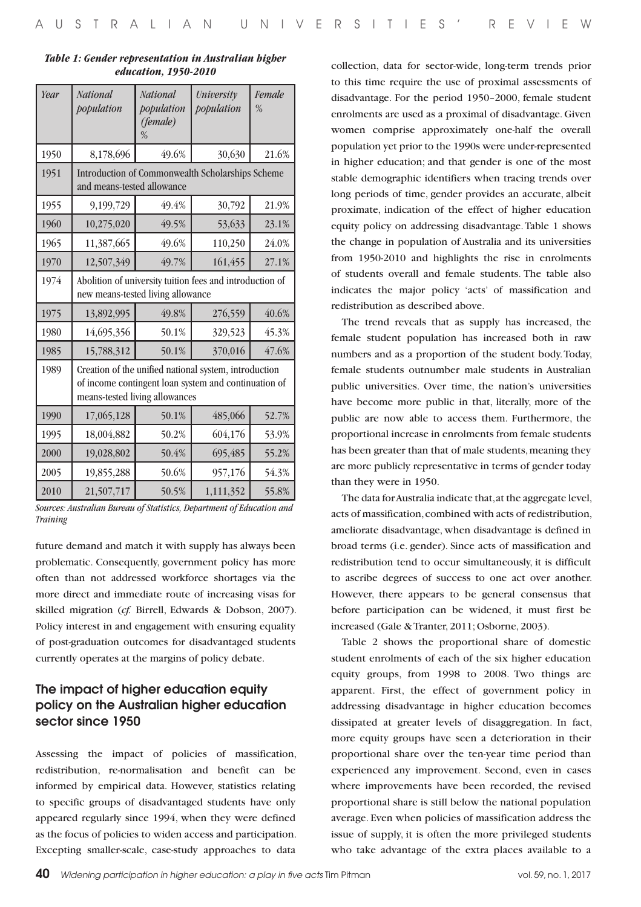| Year | <b>National</b><br>population                                                                                                                   | <b>National</b><br>population<br>(female)<br>% | University<br>population | Female<br>$\%$ |  |  |
|------|-------------------------------------------------------------------------------------------------------------------------------------------------|------------------------------------------------|--------------------------|----------------|--|--|
| 1950 | 8,178,696                                                                                                                                       | 49.6%                                          | 30,630                   | 21.6%          |  |  |
| 1951 | Introduction of Commonwealth Scholarships Scheme<br>and means-tested allowance                                                                  |                                                |                          |                |  |  |
| 1955 | 9,199,729                                                                                                                                       | 49.4%                                          | 30,792                   | 21.9%          |  |  |
| 1960 | 10,275,020                                                                                                                                      | 49.5%                                          | 53,633                   | 23.1%          |  |  |
| 1965 | 11,387,665                                                                                                                                      | 49.6%                                          | 110,250                  | 24.0%          |  |  |
| 1970 | 12,507,349                                                                                                                                      | 49.7%                                          | 161,455                  | 27.1%          |  |  |
| 1974 | Abolition of university tuition fees and introduction of<br>new means-tested living allowance                                                   |                                                |                          |                |  |  |
| 1975 | 13,892,995                                                                                                                                      | 49.8%                                          | 276,559                  | 40.6%          |  |  |
| 1980 | 14,695,356                                                                                                                                      | 50.1%                                          | 329,523                  | 45.3%          |  |  |
| 1985 | 15,788,312                                                                                                                                      | 50.1%                                          | 370,016                  | 47.6%          |  |  |
| 1989 | Creation of the unified national system, introduction<br>of income contingent loan system and continuation of<br>means-tested living allowances |                                                |                          |                |  |  |
| 1990 | 17,065,128                                                                                                                                      | 50.1%                                          | 485,066                  | 52.7%          |  |  |
| 1995 | 18,004,882                                                                                                                                      | 50.2%                                          | 604,176                  | 53.9%          |  |  |
| 2000 | 19,028,802                                                                                                                                      | 50.4%                                          | 695,485                  | 55.2%          |  |  |
| 2005 | 19,855,288                                                                                                                                      | 50.6%                                          | 957,176                  | 54.3%          |  |  |
| 2010 | 21,507,717                                                                                                                                      | 50.5%                                          | 1,111,352                | 55.8%          |  |  |

#### *Table 1: Gender representation in Australian higher education, 1950-2010*

*Sources: Australian Bureau of Statistics, Department of Education and Training*

future demand and match it with supply has always been problematic. Consequently, government policy has more often than not addressed workforce shortages via the more direct and immediate route of increasing visas for skilled migration (*cf.* Birrell, Edwards & Dobson, 2007). Policy interest in and engagement with ensuring equality of post-graduation outcomes for disadvantaged students currently operates at the margins of policy debate.

# The impact of higher education equity policy on the Australian higher education sector since 1950

Assessing the impact of policies of massification, redistribution, re-normalisation and benefit can be informed by empirical data. However, statistics relating to specific groups of disadvantaged students have only appeared regularly since 1994, when they were defined as the focus of policies to widen access and participation. Excepting smaller-scale, case-study approaches to data

collection, data for sector-wide, long-term trends prior to this time require the use of proximal assessments of disadvantage. For the period 1950–2000, female student enrolments are used as a proximal of disadvantage. Given women comprise approximately one-half the overall population yet prior to the 1990s were under-represented in higher education; and that gender is one of the most stable demographic identifiers when tracing trends over long periods of time, gender provides an accurate, albeit proximate, indication of the effect of higher education equity policy on addressing disadvantage. Table 1 shows the change in population of Australia and its universities from 1950-2010 and highlights the rise in enrolments of students overall and female students. The table also indicates the major policy 'acts' of massification and redistribution as described above.

The trend reveals that as supply has increased, the female student population has increased both in raw numbers and as a proportion of the student body. Today, female students outnumber male students in Australian public universities. Over time, the nation's universities have become more public in that, literally, more of the public are now able to access them. Furthermore, the proportional increase in enrolments from female students has been greater than that of male students, meaning they are more publicly representative in terms of gender today than they were in 1950.

The data for Australia indicate that, at the aggregate level, acts of massification, combined with acts of redistribution, ameliorate disadvantage, when disadvantage is defined in broad terms (i.e. gender). Since acts of massification and redistribution tend to occur simultaneously, it is difficult to ascribe degrees of success to one act over another. However, there appears to be general consensus that before participation can be widened, it must first be increased (Gale & Tranter, 2011; Osborne, 2003).

Table 2 shows the proportional share of domestic student enrolments of each of the six higher education equity groups, from 1998 to 2008. Two things are apparent. First, the effect of government policy in addressing disadvantage in higher education becomes dissipated at greater levels of disaggregation. In fact, more equity groups have seen a deterioration in their proportional share over the ten-year time period than experienced any improvement. Second, even in cases where improvements have been recorded, the revised proportional share is still below the national population average. Even when policies of massification address the issue of supply, it is often the more privileged students who take advantage of the extra places available to a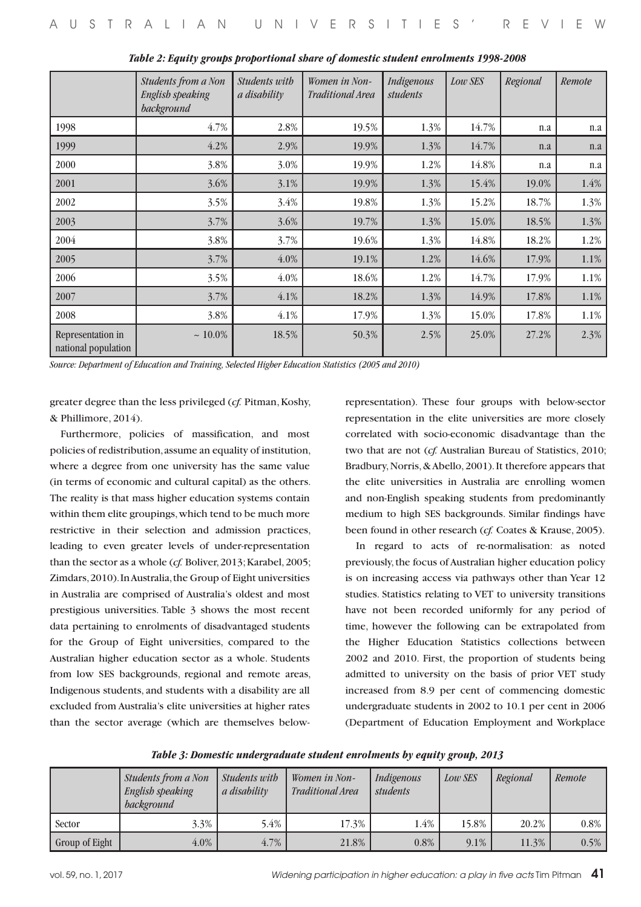|                                          | Students from a Non<br><b>English speaking</b><br>background | Students with<br>a disability | Women in Non-<br>Traditional Area | Indigenous<br>students | Low SES | Regional | Remote |
|------------------------------------------|--------------------------------------------------------------|-------------------------------|-----------------------------------|------------------------|---------|----------|--------|
| 1998                                     | 4.7%                                                         | 2.8%                          | 19.5%                             | 1.3%                   | 14.7%   | n.a      | n.a    |
| 1999                                     | 4.2%                                                         | 2.9%                          | 19.9%                             | 1.3%                   | 14.7%   | n.a      | n.a    |
| 2000                                     | 3.8%                                                         | 3.0%                          | 19.9%                             | 1.2%                   | 14.8%   | n.a      | n.a    |
| 2001                                     | 3.6%                                                         | 3.1%                          | 19.9%                             | 1.3%                   | 15.4%   | 19.0%    | 1.4%   |
| 2002                                     | 3.5%                                                         | 3.4%                          | 19.8%                             | 1.3%                   | 15.2%   | 18.7%    | 1.3%   |
| 2003                                     | 3.7%                                                         | 3.6%                          | 19.7%                             | 1.3%                   | 15.0%   | 18.5%    | 1.3%   |
| 2004                                     | 3.8%                                                         | 3.7%                          | 19.6%                             | 1.3%                   | 14.8%   | 18.2%    | 1.2%   |
| 2005                                     | 3.7%                                                         | $4.0\%$                       | 19.1%                             | 1.2%                   | 14.6%   | 17.9%    | 1.1%   |
| 2006                                     | 3.5%                                                         | $4.0\%$                       | 18.6%                             | 1.2%                   | 14.7%   | 17.9%    | 1.1%   |
| 2007                                     | 3.7%                                                         | 4.1%                          | 18.2%                             | 1.3%                   | 14.9%   | 17.8%    | 1.1%   |
| 2008                                     | 3.8%                                                         | 4.1%                          | 17.9%                             | 1.3%                   | 15.0%   | 17.8%    | 1.1%   |
| Representation in<br>national population | $~10.0\%$                                                    | 18.5%                         | 50.3%                             | 2.5%                   | 25.0%   | 27.2%    | 2.3%   |

*Table 2: Equity groups proportional share of domestic student enrolments 1998-2008*

*Source: Department of Education and Training, Selected Higher Education Statistics (2005 and 2010)*

greater degree than the less privileged (*cf.* Pitman, Koshy, & Phillimore, 2014).

Furthermore, policies of massification, and most policies of redistribution, assume an equality of institution, where a degree from one university has the same value (in terms of economic and cultural capital) as the others. The reality is that mass higher education systems contain within them elite groupings, which tend to be much more restrictive in their selection and admission practices, leading to even greater levels of under-representation than the sector as a whole (*cf.* Boliver, 2013; Karabel, 2005; Zimdars, 2010). In Australia, the Group of Eight universities in Australia are comprised of Australia's oldest and most prestigious universities. Table 3 shows the most recent data pertaining to enrolments of disadvantaged students for the Group of Eight universities, compared to the Australian higher education sector as a whole. Students from low SES backgrounds, regional and remote areas, Indigenous students, and students with a disability are all excluded from Australia's elite universities at higher rates than the sector average (which are themselves below-

representation). These four groups with below-sector representation in the elite universities are more closely correlated with socio-economic disadvantage than the two that are not (*cf.* Australian Bureau of Statistics, 2010; Bradbury, Norris, & Abello, 2001). It therefore appears that the elite universities in Australia are enrolling women and non-English speaking students from predominantly medium to high SES backgrounds. Similar findings have been found in other research (*cf.* Coates & Krause, 2005).

In regard to acts of re-normalisation: as noted previously, the focus of Australian higher education policy is on increasing access via pathways other than Year 12 studies. Statistics relating to VET to university transitions have not been recorded uniformly for any period of time, however the following can be extrapolated from the Higher Education Statistics collections between 2002 and 2010. First, the proportion of students being admitted to university on the basis of prior VET study increased from 8.9 per cent of commencing domestic undergraduate students in 2002 to 10.1 per cent in 2006 (Department of Education Employment and Workplace

| Table 3: Domestic undergraduate student enrolments by equity group, 2013 |  |
|--------------------------------------------------------------------------|--|
|--------------------------------------------------------------------------|--|

|                | Students from a Non<br>English speaking<br>background | Students with<br>a disability | Women in Non-<br>Traditional Area | Indigenous<br>students | <b>Low SES</b> | Regional | Remote  |
|----------------|-------------------------------------------------------|-------------------------------|-----------------------------------|------------------------|----------------|----------|---------|
| Sector         | 3.3%                                                  | 5.4%                          | 17.3%                             | 1.4%                   | 15.8%          | 20.2%    | $0.8\%$ |
| Group of Eight | 4.0%                                                  | $4.7\%$                       | 21.8%                             | 0.8%                   | $9.1\%$        | 11.3%    | $0.5\%$ |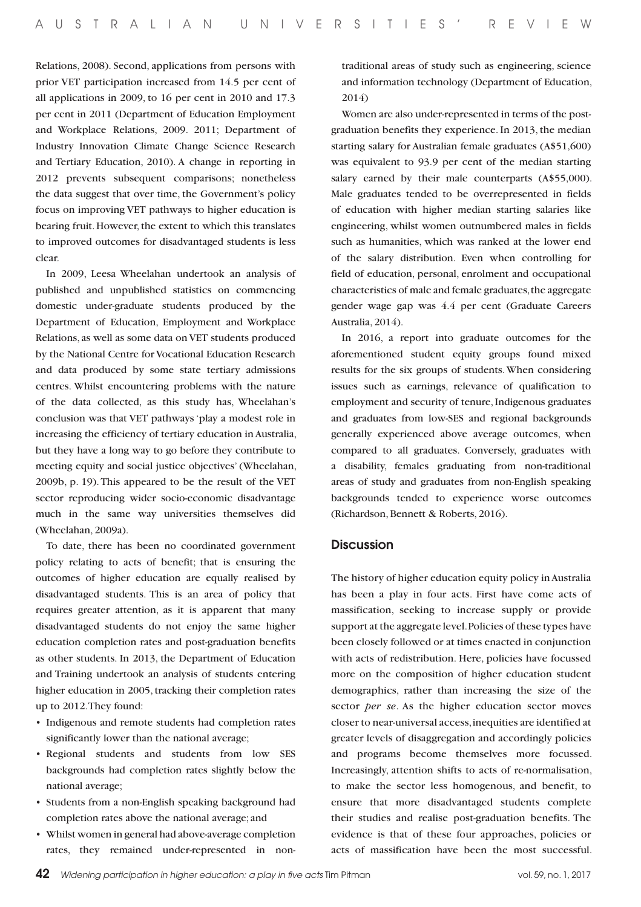Relations, 2008). Second, applications from persons with prior VET participation increased from 14.5 per cent of all applications in 2009, to 16 per cent in 2010 and 17.3 per cent in 2011 (Department of Education Employment and Workplace Relations, 2009. 2011; Department of Industry Innovation Climate Change Science Research and Tertiary Education, 2010). A change in reporting in 2012 prevents subsequent comparisons; nonetheless the data suggest that over time, the Government's policy focus on improving VET pathways to higher education is bearing fruit. However, the extent to which this translates to improved outcomes for disadvantaged students is less clear.

In 2009, Leesa Wheelahan undertook an analysis of published and unpublished statistics on commencing domestic under-graduate students produced by the Department of Education, Employment and Workplace Relations, as well as some data on VET students produced by the National Centre for Vocational Education Research and data produced by some state tertiary admissions centres. Whilst encountering problems with the nature of the data collected, as this study has, Wheelahan's conclusion was that VET pathways 'play a modest role in increasing the efficiency of tertiary education in Australia, but they have a long way to go before they contribute to meeting equity and social justice objectives' (Wheelahan, 2009b, p. 19). This appeared to be the result of the VET sector reproducing wider socio-economic disadvantage much in the same way universities themselves did (Wheelahan, 2009a).

To date, there has been no coordinated government policy relating to acts of benefit; that is ensuring the outcomes of higher education are equally realised by disadvantaged students. This is an area of policy that requires greater attention, as it is apparent that many disadvantaged students do not enjoy the same higher education completion rates and post-graduation benefits as other students. In 2013, the Department of Education and Training undertook an analysis of students entering higher education in 2005, tracking their completion rates up to 2012. They found:

- • Indigenous and remote students had completion rates significantly lower than the national average;
- • Regional students and students from low SES backgrounds had completion rates slightly below the national average;
- Students from a non-English speaking background had completion rates above the national average; and
- Whilst women in general had above-average completion rates, they remained under-represented in non-

traditional areas of study such as engineering, science and information technology (Department of Education, 2014)

Women are also under-represented in terms of the postgraduation benefits they experience. In 2013, the median starting salary for Australian female graduates (A\$51,600) was equivalent to 93.9 per cent of the median starting salary earned by their male counterparts (A\$55,000). Male graduates tended to be overrepresented in fields of education with higher median starting salaries like engineering, whilst women outnumbered males in fields such as humanities, which was ranked at the lower end of the salary distribution. Even when controlling for field of education, personal, enrolment and occupational characteristics of male and female graduates, the aggregate gender wage gap was 4.4 per cent (Graduate Careers Australia, 2014).

In 2016, a report into graduate outcomes for the aforementioned student equity groups found mixed results for the six groups of students. When considering issues such as earnings, relevance of qualification to employment and security of tenure, Indigenous graduates and graduates from low-SES and regional backgrounds generally experienced above average outcomes, when compared to all graduates. Conversely, graduates with a disability, females graduating from non-traditional areas of study and graduates from non-English speaking backgrounds tended to experience worse outcomes (Richardson, Bennett & Roberts, 2016).

## **Discussion**

The history of higher education equity policy in Australia has been a play in four acts. First have come acts of massification, seeking to increase supply or provide support at the aggregate level. Policies of these types have been closely followed or at times enacted in conjunction with acts of redistribution. Here, policies have focussed more on the composition of higher education student demographics, rather than increasing the size of the sector *per se*. As the higher education sector moves closer to near-universal access, inequities are identified at greater levels of disaggregation and accordingly policies and programs become themselves more focussed. Increasingly, attention shifts to acts of re-normalisation, to make the sector less homogenous, and benefit, to ensure that more disadvantaged students complete their studies and realise post-graduation benefits. The evidence is that of these four approaches, policies or acts of massification have been the most successful.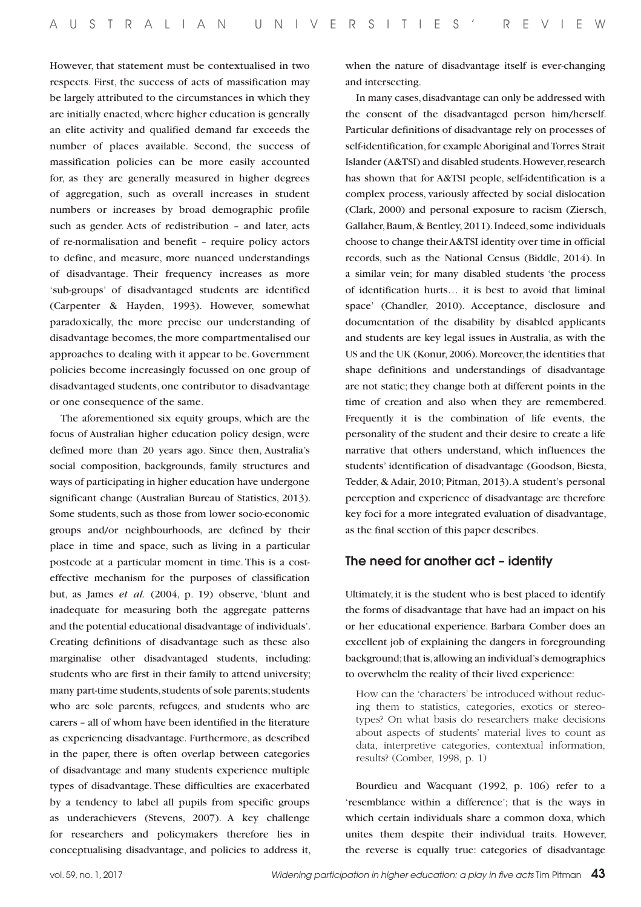However, that statement must be contextualised in two respects. First, the success of acts of massification may be largely attributed to the circumstances in which they are initially enacted, where higher education is generally an elite activity and qualified demand far exceeds the number of places available. Second, the success of massification policies can be more easily accounted for, as they are generally measured in higher degrees of aggregation, such as overall increases in student numbers or increases by broad demographic profile such as gender. Acts of redistribution – and later, acts of re-normalisation and benefit – require policy actors to define, and measure, more nuanced understandings of disadvantage. Their frequency increases as more 'sub-groups' of disadvantaged students are identified (Carpenter & Hayden, 1993). However, somewhat paradoxically, the more precise our understanding of disadvantage becomes, the more compartmentalised our approaches to dealing with it appear to be. Government policies become increasingly focussed on one group of disadvantaged students, one contributor to disadvantage or one consequence of the same.

The aforementioned six equity groups, which are the focus of Australian higher education policy design, were defined more than 20 years ago. Since then, Australia's social composition, backgrounds, family structures and ways of participating in higher education have undergone significant change (Australian Bureau of Statistics, 2013). Some students, such as those from lower socio-economic groups and/or neighbourhoods, are defined by their place in time and space, such as living in a particular postcode at a particular moment in time. This is a costeffective mechanism for the purposes of classification but, as James *et al.* (2004, p. 19) observe, 'blunt and inadequate for measuring both the aggregate patterns and the potential educational disadvantage of individuals'. Creating definitions of disadvantage such as these also marginalise other disadvantaged students, including: students who are first in their family to attend university; many part-time students, students of sole parents; students who are sole parents, refugees, and students who are carers – all of whom have been identified in the literature as experiencing disadvantage. Furthermore, as described in the paper, there is often overlap between categories of disadvantage and many students experience multiple types of disadvantage. These difficulties are exacerbated by a tendency to label all pupils from specific groups as underachievers (Stevens, 2007). A key challenge for researchers and policymakers therefore lies in conceptualising disadvantage, and policies to address it,

when the nature of disadvantage itself is ever-changing and intersecting.

In many cases, disadvantage can only be addressed with the consent of the disadvantaged person him/herself. Particular definitions of disadvantage rely on processes of self-identification, for example Aboriginal and Torres Strait Islander (A&TSI) and disabled students. However, research has shown that for A&TSI people, self-identification is a complex process, variously affected by social dislocation (Clark, 2000) and personal exposure to racism (Ziersch, Gallaher, Baum, & Bentley, 2011). Indeed, some individuals choose to change their A&TSI identity over time in official records, such as the National Census (Biddle, 2014). In a similar vein; for many disabled students 'the process of identification hurts… it is best to avoid that liminal space' (Chandler, 2010). Acceptance, disclosure and documentation of the disability by disabled applicants and students are key legal issues in Australia, as with the US and the UK (Konur, 2006). Moreover, the identities that shape definitions and understandings of disadvantage are not static; they change both at different points in the time of creation and also when they are remembered. Frequently it is the combination of life events, the personality of the student and their desire to create a life narrative that others understand, which influences the students' identification of disadvantage (Goodson, Biesta, Tedder, & Adair, 2010; Pitman, 2013). A student's personal perception and experience of disadvantage are therefore key foci for a more integrated evaluation of disadvantage, as the final section of this paper describes.

### The need for another act – identity

Ultimately, it is the student who is best placed to identify the forms of disadvantage that have had an impact on his or her educational experience. Barbara Comber does an excellent job of explaining the dangers in foregrounding background; that is, allowing an individual's demographics to overwhelm the reality of their lived experience:

How can the 'characters' be introduced without reducing them to statistics, categories, exotics or stereotypes? On what basis do researchers make decisions about aspects of students' material lives to count as data, interpretive categories, contextual information, results? (Comber, 1998, p. 1)

Bourdieu and Wacquant (1992, p. 106) refer to a 'resemblance within a difference'; that is the ways in which certain individuals share a common doxa, which unites them despite their individual traits. However, the reverse is equally true: categories of disadvantage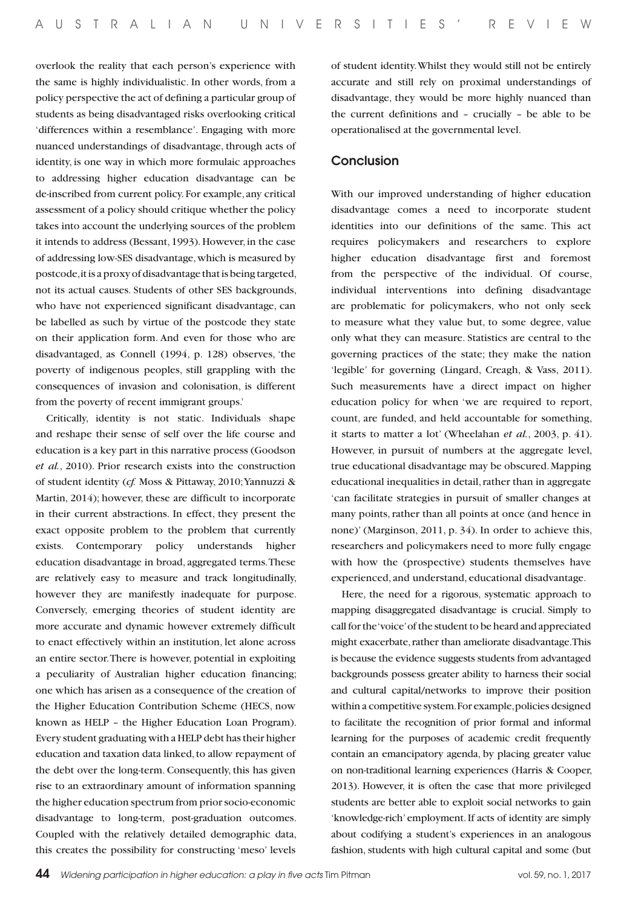overlook the reality that each person's experience with the same is highly individualistic. In other words, from a policy perspective the act of defining a particular group of students as being disadvantaged risks overlooking critical 'differences within a resemblance'. Engaging with more nuanced understandings of disadvantage, through acts of identity, is one way in which more formulaic approaches to addressing higher education disadvantage can be de-inscribed from current policy. For example, any critical assessment of a policy should critique whether the policy takes into account the underlying sources of the problem it intends to address (Bessant, 1993). However, in the case of addressing low-SES disadvantage, which is measured by postcode, it is a proxy of disadvantage that is being targeted, not its actual causes. Students of other SES backgrounds, who have not experienced significant disadvantage, can be labelled as such by virtue of the postcode they state on their application form. And even for those who are disadvantaged, as Connell (1994, p. 128) observes, 'the poverty of indigenous peoples, still grappling with the consequences of invasion and colonisation, is different from the poverty of recent immigrant groups.'

Critically, identity is not static. Individuals shape and reshape their sense of self over the life course and education is a key part in this narrative process (Goodson *et al.*, 2010). Prior research exists into the construction of student identity (*cf.* Moss & Pittaway, 2010; Yannuzzi & Martin, 2014); however, these are difficult to incorporate in their current abstractions. In effect, they present the exact opposite problem to the problem that currently exists. Contemporary policy understands higher education disadvantage in broad, aggregated terms. These are relatively easy to measure and track longitudinally, however they are manifestly inadequate for purpose. Conversely, emerging theories of student identity are more accurate and dynamic however extremely difficult to enact effectively within an institution, let alone across an entire sector. There is however, potential in exploiting a peculiarity of Australian higher education financing; one which has arisen as a consequence of the creation of the Higher Education Contribution Scheme (HECS, now known as HELP – the Higher Education Loan Program). Every student graduating with a HELP debt has their higher education and taxation data linked, to allow repayment of the debt over the long-term. Consequently, this has given rise to an extraordinary amount of information spanning the higher education spectrum from prior socio-economic disadvantage to long-term, post-graduation outcomes. Coupled with the relatively detailed demographic data, this creates the possibility for constructing 'meso' levels

of student identity. Whilst they would still not be entirely accurate and still rely on proximal understandings of disadvantage, they would be more highly nuanced than the current definitions and – crucially – be able to be operationalised at the governmental level.

## Conclusion

With our improved understanding of higher education disadvantage comes a need to incorporate student identities into our definitions of the same. This act requires policymakers and researchers to explore higher education disadvantage first and foremost from the perspective of the individual. Of course, individual interventions into defining disadvantage are problematic for policymakers, who not only seek to measure what they value but, to some degree, value only what they can measure. Statistics are central to the governing practices of the state; they make the nation 'legible' for governing (Lingard, Creagh, & Vass, 2011). Such measurements have a direct impact on higher education policy for when 'we are required to report, count, are funded, and held accountable for something, it starts to matter a lot' (Wheelahan *et al.*, 2003, p. 41). However, in pursuit of numbers at the aggregate level, true educational disadvantage may be obscured. Mapping educational inequalities in detail, rather than in aggregate 'can facilitate strategies in pursuit of smaller changes at many points, rather than all points at once (and hence in none)' (Marginson, 2011, p. 34). In order to achieve this, researchers and policymakers need to more fully engage with how the (prospective) students themselves have experienced, and understand, educational disadvantage.

Here, the need for a rigorous, systematic approach to mapping disaggregated disadvantage is crucial. Simply to call for the 'voice' of the student to be heard and appreciated might exacerbate, rather than ameliorate disadvantage. This is because the evidence suggests students from advantaged backgrounds possess greater ability to harness their social and cultural capital/networks to improve their position within a competitive system. For example, policies designed to facilitate the recognition of prior formal and informal learning for the purposes of academic credit frequently contain an emancipatory agenda, by placing greater value on non-traditional learning experiences (Harris & Cooper, 2013). However, it is often the case that more privileged students are better able to exploit social networks to gain 'knowledge-rich' employment. If acts of identity are simply about codifying a student's experiences in an analogous fashion, students with high cultural capital and some (but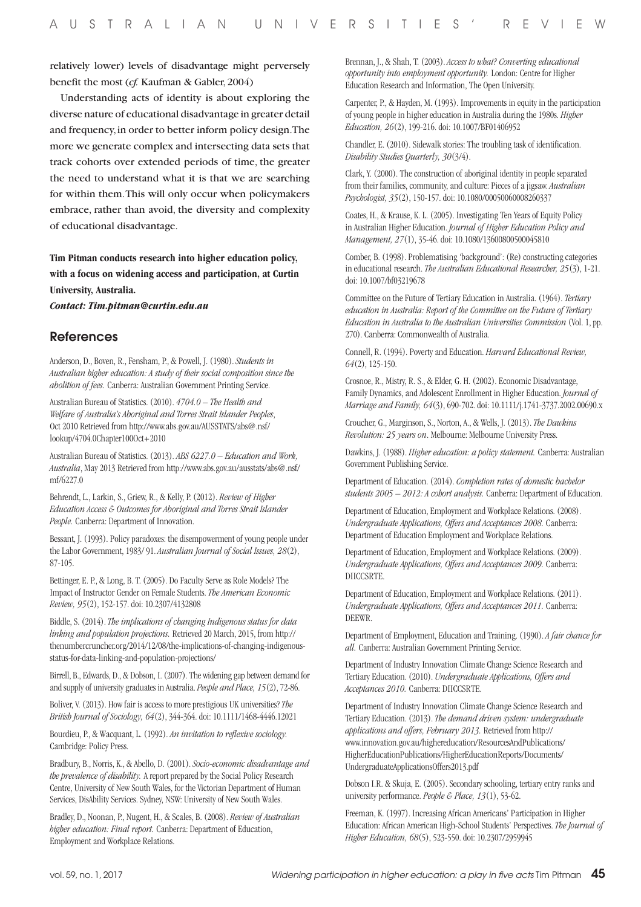relatively lower) levels of disadvantage might perversely benefit the most (*cf.* Kaufman & Gabler, 2004)

Understanding acts of identity is about exploring the diverse nature of educational disadvantage in greater detail and frequency, in order to better inform policy design. The more we generate complex and intersecting data sets that track cohorts over extended periods of time, the greater the need to understand what it is that we are searching for within them. This will only occur when policymakers embrace, rather than avoid, the diversity and complexity of educational disadvantage.

**Tim Pitman conducts research into higher education policy, with a focus on widening access and participation, at Curtin University, Australia.** 

*Contact: Tim.pitman@curtin.edu.au*

#### References

Anderson, D., Boven, R., Fensham, P., & Powell, J. (1980). *Students in Australian higher education: A study of their social composition since the abolition of fees.* Canberra: Australian Government Printing Service.

Australian Bureau of Statistics. (2010). *4704.0 – The Health and Welfare of Australia's Aboriginal and Torres Strait Islander Peoples*, Oct 2010 Retrieved from http://www.abs.gov.au/AUSSTATS/abs@.nsf/ lookup/4704.0Chapter100Oct+2010

Australian Bureau of Statistics. (2013). *ABS 6227.0 – Education and Work, Australia*, May 2013 Retrieved from http://www.abs.gov.au/ausstats/abs@.nsf/ mf/6227.0

Behrendt, L., Larkin, S., Griew, R., & Kelly, P. (2012). *Review of Higher Education Access & Outcomes for Aboriginal and Torres Strait Islander People.* Canberra: Department of Innovation.

Bessant, J. (1993). Policy paradoxes: the disempowerment of young people under the Labor Government, 1983/ 91. *Australian Journal of Social Issues, 28*(2), 87-105.

Bettinger, E. P., & Long, B. T. (2005). Do Faculty Serve as Role Models? The Impact of Instructor Gender on Female Students. *The American Economic Review, 95*(2), 152-157. doi: 10.2307/4132808

Biddle, S. (2014). *The implications of changing Indigenous status for data linking and population projections.* Retrieved 20 March, 2015, from http:// thenumbercruncher.org/2014/12/08/the-implications-of-changing-indigenousstatus-for-data-linking-and-population-projections/

Birrell, B., Edwards, D., & Dobson, I. (2007). The widening gap between demand for and supply of university graduates in Australia. *People and Place, 15*(2), 72-86.

Boliver, V. (2013). How fair is access to more prestigious UK universities? *The British Journal of Sociology, 64*(2), 344-364. doi: 10.1111/1468-4446.12021

Bourdieu, P., & Wacquant, L. (1992). *An invitation to reflexive sociology.*  Cambridge: Policy Press.

Bradbury, B., Norris, K., & Abello, D. (2001). *Socio-economic disadvantage and the prevalence of disability.* A report prepared by the Social Policy Research Centre, University of New South Wales, for the Victorian Department of Human Services, DisAbility Services. Sydney, NSW: University of New South Wales.

Bradley, D., Noonan, P., Nugent, H., & Scales, B. (2008). *Review of Australian higher education: Final report.* Canberra: Department of Education, Employment and Workplace Relations.

Brennan, J., & Shah, T. (2003). *Access to what? Converting educational opportunity into employment opportunity.* London: Centre for Higher Education Research and Information, The Open University.

Carpenter, P., & Hayden, M. (1993). Improvements in equity in the participation of young people in higher education in Australia during the 1980s. *Higher Education, 26*(2), 199-216. doi: 10.1007/BF01406952

Chandler, E. (2010). Sidewalk stories: The troubling task of identification. *Disability Studies Quarterly, 30*(3/4).

Clark, Y. (2000). The construction of aboriginal identity in people separated from their families, community, and culture: Pieces of a jigsaw. *Australian Psychologist, 35*(2), 150-157. doi: 10.1080/00050060008260337

Coates, H., & Krause, K. L. (2005). Investigating Ten Years of Equity Policy in Australian Higher Education. *Journal of Higher Education Policy and Management, 27*(1), 35-46. doi: 10.1080/13600800500045810

Comber, B. (1998). Problematising 'background': (Re) constructing categories in educational research. *The Australian Educational Researcher, 25*(3), 1-21. doi: 10.1007/bf03219678

Committee on the Future of Tertiary Education in Australia. (1964). *Tertiary education in Australia: Report of the Committee on the Future of Tertiary Education in Australia to the Australian Universities Commission* (Vol. 1, pp. 270). Canberra: Commonwealth of Australia.

Connell, R. (1994). Poverty and Education. *Harvard Educational Review, 64*(2), 125-150.

Crosnoe, R., Mistry, R. S., & Elder, G. H. (2002). Economic Disadvantage, Family Dynamics, and Adolescent Enrollment in Higher Education. *Journal of Marriage and Family, 64*(3), 690-702. doi: 10.1111/j.1741-3737.2002.00690.x

Croucher, G., Marginson, S., Norton, A., & Wells, J. (2013). *The Dawkins Revolution: 25 years on*. Melbourne: Melbourne University Press.

Dawkins, J. (1988). *Higher education: a policy statement.* Canberra: Australian Government Publishing Service.

Department of Education. (2014). *Completion rates of domestic bachelor students 2005 – 2012: A cohort analysis.* Canberra: Department of Education.

Department of Education, Employment and Workplace Relations. (2008). *Undergraduate Applications, Offers and Acceptances 2008.* Canberra: Department of Education Employment and Workplace Relations.

Department of Education, Employment and Workplace Relations. (2009). *Undergraduate Applications, Offers and Acceptances 2009.* Canberra: DIICCSRTE.

Department of Education, Employment and Workplace Relations. (2011). *Undergraduate Applications, Offers and Acceptances 2011.* Canberra: DEEWR.

Department of Employment, Education and Training. (1990). *A fair chance for all.* Canberra: Australian Government Printing Service.

Department of Industry Innovation Climate Change Science Research and Tertiary Education. (2010). *Undergraduate Applications, Offers and Acceptances 2010.* Canberra: DIICCSRTE.

Department of Industry Innovation Climate Change Science Research and Tertiary Education. (2013). *The demand driven system: undergraduate applications and offers, February 2013.* Retrieved from http:// www.innovation.gov.au/highereducation/ResourcesAndPublications/ HigherEducationPublications/HigherEducationReports/Documents/ UndergraduateApplicationsOffers2013.pdf

Dobson I.R. & Skuja, E. (2005). Secondary schooling, tertiary entry ranks and university performance. *People & Place, 13*(1), 53-62.

Freeman, K. (1997). Increasing African Americans' Participation in Higher Education: African American High-School Students' Perspectives. *The Journal of Higher Education, 68*(5), 523-550. doi: 10.2307/2959945